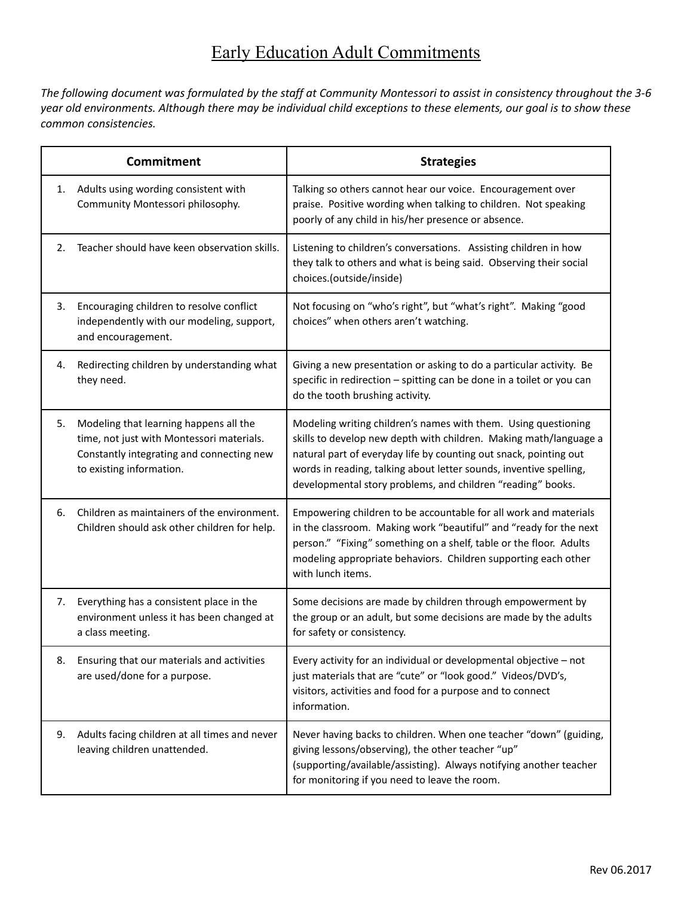## Early Education Adult Commitments

The following document was formulated by the staff at Community Montessori to assist in consistency throughout the 3-6 year old environments. Although there may be individual child exceptions to these elements, our goal is to show these *common consistencies.*

| <b>Commitment</b> |                                                                                                                                                              | <b>Strategies</b>                                                                                                                                                                                                                                                                                                                             |
|-------------------|--------------------------------------------------------------------------------------------------------------------------------------------------------------|-----------------------------------------------------------------------------------------------------------------------------------------------------------------------------------------------------------------------------------------------------------------------------------------------------------------------------------------------|
| 1.                | Adults using wording consistent with<br>Community Montessori philosophy.                                                                                     | Talking so others cannot hear our voice. Encouragement over<br>praise. Positive wording when talking to children. Not speaking<br>poorly of any child in his/her presence or absence.                                                                                                                                                         |
| 2.                | Teacher should have keen observation skills.                                                                                                                 | Listening to children's conversations. Assisting children in how<br>they talk to others and what is being said. Observing their social<br>choices.(outside/inside)                                                                                                                                                                            |
| 3.                | Encouraging children to resolve conflict<br>independently with our modeling, support,<br>and encouragement.                                                  | Not focusing on "who's right", but "what's right". Making "good<br>choices" when others aren't watching.                                                                                                                                                                                                                                      |
| 4.                | Redirecting children by understanding what<br>they need.                                                                                                     | Giving a new presentation or asking to do a particular activity. Be<br>specific in redirection - spitting can be done in a toilet or you can<br>do the tooth brushing activity.                                                                                                                                                               |
| 5.                | Modeling that learning happens all the<br>time, not just with Montessori materials.<br>Constantly integrating and connecting new<br>to existing information. | Modeling writing children's names with them. Using questioning<br>skills to develop new depth with children. Making math/language a<br>natural part of everyday life by counting out snack, pointing out<br>words in reading, talking about letter sounds, inventive spelling,<br>developmental story problems, and children "reading" books. |
| 6.                | Children as maintainers of the environment.<br>Children should ask other children for help.                                                                  | Empowering children to be accountable for all work and materials<br>in the classroom. Making work "beautiful" and "ready for the next<br>person." "Fixing" something on a shelf, table or the floor. Adults<br>modeling appropriate behaviors. Children supporting each other<br>with lunch items.                                            |
| 7.                | Everything has a consistent place in the<br>environment unless it has been changed at<br>a class meeting.                                                    | Some decisions are made by children through empowerment by<br>the group or an adult, but some decisions are made by the adults<br>for safety or consistency.                                                                                                                                                                                  |
| 8.                | Ensuring that our materials and activities<br>are used/done for a purpose.                                                                                   | Every activity for an individual or developmental objective - not<br>just materials that are "cute" or "look good." Videos/DVD's,<br>visitors, activities and food for a purpose and to connect<br>information.                                                                                                                               |
| 9.                | Adults facing children at all times and never<br>leaving children unattended.                                                                                | Never having backs to children. When one teacher "down" (guiding,<br>giving lessons/observing), the other teacher "up"<br>(supporting/available/assisting). Always notifying another teacher<br>for monitoring if you need to leave the room.                                                                                                 |